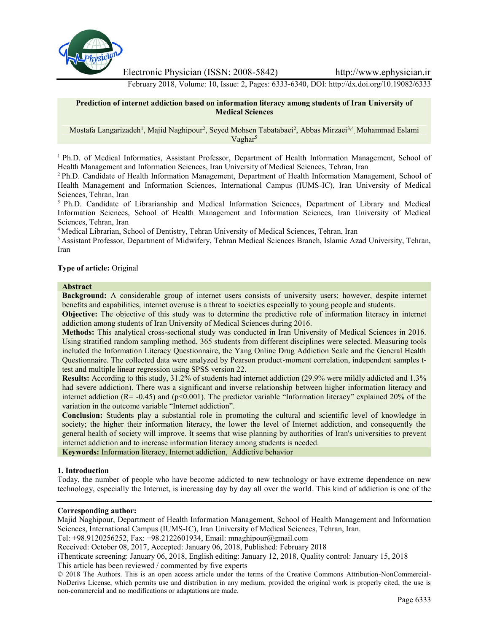

Electronic Physician (ISSN: 2008-5842) http://www.ephysician.ir

February 2018, Volume: 10, Issue: 2, Pages: 6333-6340, DOI: http://dx.doi.org/10.19082/6333

### **Prediction of internet addiction based on information literacy among students of Iran University of Medical Sciences**

Mostafa Langarizadeh<sup>1</sup>, Majid Naghipour<sup>2</sup>, Seyed Mohsen Tabatabaei<sup>2</sup>, Abbas Mirzaei<sup>3,4</sup>, Mohammad Eslami  $Vaphar<sup>5</sup>$ 

<sup>1</sup> Ph.D. of Medical Informatics, Assistant Professor, Department of Health Information Management, School of Health Management and Information Sciences, Iran University of Medical Sciences, Tehran, Iran

<sup>2</sup> Ph.D. Candidate of Health Information Management, Department of Health Information Management, School of Health Management and Information Sciences, International Campus (IUMS-IC), Iran University of Medical Sciences, Tehran, Iran

<sup>3</sup> Ph.D. Candidate of Librarianship and Medical Information Sciences, Department of Library and Medical Information Sciences, School of Health Management and Information Sciences, Iran University of Medical Sciences, Tehran, Iran

<sup>4</sup> Medical Librarian, School of Dentistry, Tehran University of Medical Sciences, Tehran, Iran

<sup>5</sup> Assistant Professor, Department of Midwifery, Tehran Medical Sciences Branch, Islamic Azad University, Tehran, Iran

## **Type of article:** Original

#### **Abstract**

**Background:** A considerable group of internet users consists of university users; however, despite internet benefits and capabilities, internet overuse is a threat to societies especially to young people and students.

**Objective:** The objective of this study was to determine the predictive role of information literacy in internet addiction among students of Iran University of Medical Sciences during 2016.

**Methods:** This analytical cross-sectional study was conducted in Iran University of Medical Sciences in 2016. Using stratified random sampling method, 365 students from different disciplines were selected. Measuring tools included the Information Literacy Questionnaire, the Yang Online Drug Addiction Scale and the General Health Questionnaire. The collected data were analyzed by Pearson product-moment correlation, independent samples ttest and multiple linear regression using SPSS version 22.

**Results:** According to this study, 31.2% of students had internet addiction (29.9% were mildly addicted and 1.3% had severe addiction). There was a significant and inverse relationship between higher information literacy and internet addiction  $(R = -0.45)$  and  $(p < 0.001)$ . The predictor variable "Information literacy" explained 20% of the variation in the outcome variable "Internet addiction".

**Conclusion:** Students play a substantial role in promoting the cultural and scientific level of knowledge in society; the higher their information literacy, the lower the level of Internet addiction, and consequently the general health of society will improve. It seems that wise planning by authorities of Iran's universities to prevent internet addiction and to increase information literacy among students is needed.

**Keywords:** Information literacy, Internet addiction, Addictive behavior

### **1. Introduction**

Today, the number of people who have become addicted to new technology or have extreme dependence on new technology, especially the Internet, is increasing day by day all over the world. This kind of addiction is one of the

# **Corresponding author:**

Majid Naghipour, Department of Health Information Management, School of Health Management and Information Sciences, International Campus (IUMS-IC), Iran University of Medical Sciences, Tehran, Iran.

Tel: +98.9120256252, Fax: +98.2122601934, Email: mnaghipour@gmail.com

Received: October 08, 2017, Accepted: January 06, 2018, Published: February 2018

iThenticate screening: January 06, 2018, English editing: January 12, 2018, Quality control: January 15, 2018 This article has been reviewed / commented by five experts

<sup>© 2018</sup> The Authors. This is an open access article under the terms of the Creative Commons Attribution-NonCommercial- NoDerivs License, which permits use and distribution in any medium, provided the original work is properly cited, the use is non-commercial and no modifications or adaptations are made.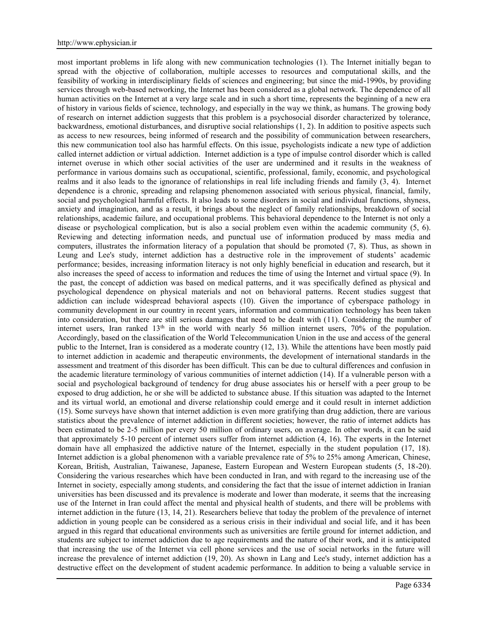most important problems in life along with new communication technologies (1). The Internet initially began to spread with the objective of collaboration, multiple accesses to resources and computational skills, and the feasibility of working in interdisciplinary fields of sciences and engineering; but since the mid-1990s, by providing services through web-based networking, the Internet has been considered as a global network. The dependence of all human activities on the Internet at a very large scale and in such a short time, represents the beginning of a new era of history in various fields of science, technology, and especially in the way we think, as humans. The growing body of research on internet addiction suggests that this problem is a psychosocial disorder characterized by tolerance, backwardness, emotional disturbances, and disruptive social relationships (1, 2). In addition to positive aspects such as access to new resources, being informed of research and the possibility of communication between researchers, this new communication tool also has harmful effects. On this issue, psychologists indicate a new type of addiction called internet addiction or virtual addiction. Internet addiction is a type of impulse control disorder which is called internet overuse in which other social activities of the user are undermined and it results in the weakness of performance in various domains such as occupational, scientific, professional, family, economic, and psychological realms and it also leads to the ignorance of relationships in real life including friends and family (3, 4). Internet dependence is a chronic, spreading and relapsing phenomenon associated with serious physical, financial, family, social and psychological harmful effects. It also leads to some disorders in social and individual functions, shyness, anxiety and imagination, and as a result, it brings about the neglect of family relationships, breakdown of social relationships, academic failure, and occupational problems. This behavioral dependence to the Internet is not only a disease or psychological complication, but is also a social problem even within the academic community (5, 6). Reviewing and detecting information needs, and punctual use of information produced by mass media and computers, illustrates the information literacy of a population that should be promoted (7, 8). Thus, as shown in Leung and Lee's study, internet addiction has a destructive role in the improvement of students' academic performance; besides, increasing information literacy is not only highly beneficial in education and research, but it also increases the speed of access to information and reduces the time of using the Internet and virtual space (9). In the past, the concept of addiction was based on medical patterns, and it was specifically defined as physical and psychological dependence on physical materials and not on behavioral patterns. Recent studies suggest that addiction can include widespread behavioral aspects (10). Given the importance of cyberspace pathology in community development in our country in recent years, information and communication technology has been taken into consideration, but there are still serious damages that need to be dealt with (11). Considering the number of internet users, Iran ranked 13<sup>th</sup> in the world with nearly 56 million internet users, 70% of the population. Accordingly, based on the classification of the World Telecommunication Union in the use and access of the general public to the Internet, Iran is considered as a moderate country (12, 13). While the attentions have been mostly paid to internet addiction in academic and therapeutic environments, the development of international standards in the assessment and treatment of this disorder has been difficult. This can be due to cultural differences and confusion in the academic literature terminology of various communities of internet addiction (14). If a vulnerable person with a social and psychological background of tendency for drug abuse associates his or herself with a peer group to be exposed to drug addiction, he or she will be addicted to substance abuse. If this situation was adapted to the Internet and its virtual world, an emotional and diverse relationship could emerge and it could result in internet addiction (15). Some surveys have shown that internet addiction is even more gratifying than drug addiction, there are various statistics about the prevalence of internet addiction in different societies; however, the ratio of internet addicts has been estimated to be 2-5 million per every 50 million of ordinary users, on average. In other words, it can be said that approximately 5-10 percent of internet users suffer from internet addiction (4, 16). The experts in the Internet domain have all emphasized the addictive nature of the Internet, especially in the student population (17, 18). Internet addiction is a global phenomenon with a variable prevalence rate of 5% to 25% among American, Chinese, Korean, British, Australian, Taiwanese, Japanese, Eastern European and Western European students (5, 18-20). Considering the various researches which have been conducted in Iran, and with regard to the increasing use of the Internet in society, especially among students, and considering the fact that the issue of internet addiction in Iranian universities has been discussed and its prevalence is moderate and lower than moderate, it seems that the increasing use of the Internet in Iran could affect the mental and physical health of students, and there will be problems with internet addiction in the future (13, 14, 21). Researchers believe that today the problem of the prevalence of internet addiction in young people can be considered as a serious crisis in their individual and social life, and it has been argued in this regard that educational environments such as universities are fertile ground for internet addiction, and students are subject to internet addiction due to age requirements and the nature of their work, and it is anticipated that increasing the use of the Internet via cell phone services and the use of social networks in the future will increase the prevalence of internet addiction (19, 20). As shown in Lang and Lee's study, internet addiction has a destructive effect on the development of student academic performance. In addition to being a valuable service in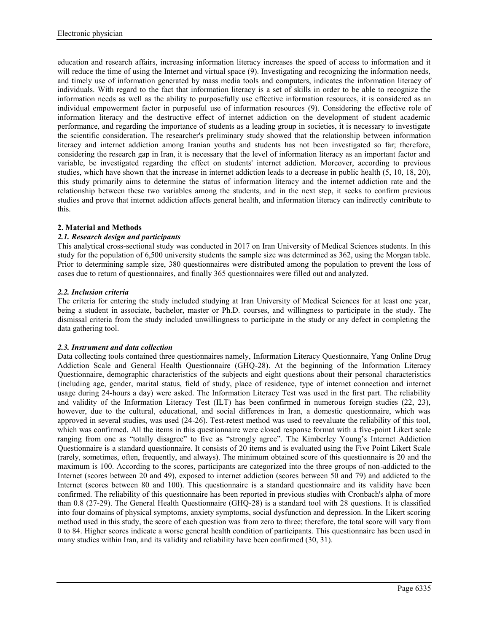education and research affairs, increasing information literacy increases the speed of access to information and it will reduce the time of using the Internet and virtual space (9). Investigating and recognizing the information needs, and timely use of information generated by mass media tools and computers, indicates the information literacy of individuals. With regard to the fact that information literacy is a set of skills in order to be able to recognize the information needs as well as the ability to purposefully use effective information resources, it is considered as an individual empowerment factor in purposeful use of information resources (9). Considering the effective role of information literacy and the destructive effect of internet addiction on the development of student academic performance, and regarding the importance of students as a leading group in societies, it is necessary to investigate the scientific consideration. The researcher's preliminary study showed that the relationship between information literacy and internet addiction among Iranian youths and students has not been investigated so far; therefore, considering the research gap in Iran, it is necessary that the level of information literacy as an important factor and variable, be investigated regarding the effect on students' internet addiction. Moreover, according to previous studies, which have shown that the increase in internet addiction leads to a decrease in public health (5, 10, 18, 20), this study primarily aims to determine the status of information literacy and the internet addiction rate and the relationship between these two variables among the students, and in the next step, it seeks to confirm previous studies and prove that internet addiction affects general health, and information literacy can indirectly contribute to this.

# **2. Material and Methods**

# *2.1. Research design and participants*

This analytical cross-sectional study was conducted in 2017 on Iran University of Medical Sciences students. In this study for the population of 6,500 university students the sample size was determined as 362, using the Morgan table. Prior to determining sample size, 380 questionnaires were distributed among the population to prevent the loss of cases due to return of questionnaires, and finally 365 questionnaires were filled out and analyzed.

# *2.2. Inclusion criteria*

The criteria for entering the study included studying at Iran University of Medical Sciences for at least one year, being a student in associate, bachelor, master or Ph.D. courses, and willingness to participate in the study. The dismissal criteria from the study included unwillingness to participate in the study or any defect in completing the data gathering tool.

# *2.3. Instrument and data collection*

Data collecting tools contained three questionnaires namely, Information Literacy Questionnaire, Yang Online Drug Addiction Scale and General Health Questionnaire (GHQ-28). At the beginning of the Information Literacy Questionnaire, demographic characteristics of the subjects and eight questions about their personal characteristics (including age, gender, marital status, field of study, place of residence, type of internet connection and internet usage during 24-hours a day) were asked. The Information Literacy Test was used in the first part. The reliability and validity of the Information Literacy Test (ILT) has been confirmed in numerous foreign studies (22, 23), however, due to the cultural, educational, and social differences in Iran, a domestic questionnaire, which was approved in several studies, was used (24-26). Test-retest method was used to reevaluate the reliability of this tool, which was confirmed. All the items in this questionnaire were closed response format with a five-point Likert scale ranging from one as "totally disagree" to five as "strongly agree". The Kimberley Young's Internet Addiction Questionnaire is a standard questionnaire. It consists of 20 items and is evaluated using the Five Point Likert Scale (rarely, sometimes, often, frequently, and always). The minimum obtained score of this questionnaire is 20 and the maximum is 100. According to the scores, participants are categorized into the three groups of non-addicted to the Internet (scores between 20 and 49), exposed to internet addiction (scores between 50 and 79) and addicted to the Internet (scores between 80 and 100). This questionnaire is a standard questionnaire and its validity have been confirmed. The reliability of this questionnaire has been reported in previous studies with Cronbach's alpha of more than 0.8 (27-29). The General Health Questionnaire (GHQ-28) is a standard tool with 28 questions. It is classified into four domains of physical symptoms, anxiety symptoms, social dysfunction and depression. In the Likert scoring method used in this study, the score of each question was from zero to three; therefore, the total score will vary from 0 to 84. Higher scores indicate a worse general health condition of participants. This questionnaire has been used in many studies within Iran, and its validity and reliability have been confirmed (30, 31).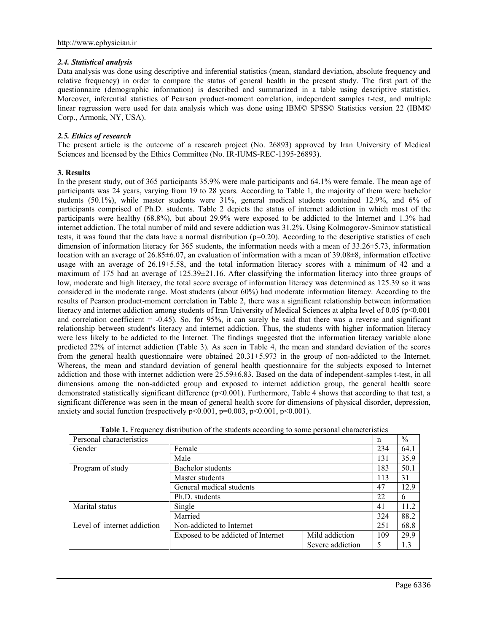## *2.4. Statistical analysis*

Data analysis was done using descriptive and inferential statistics (mean, standard deviation, absolute frequency and relative frequency) in order to compare the status of general health in the present study. The first part of the questionnaire (demographic information) is described and summarized in a table using descriptive statistics. Moreover, inferential statistics of Pearson product-moment correlation, independent samples t-test, and multiple linear regression were used for data analysis which was done using IBM© SPSS© Statistics version 22 (IBM© Corp., Armonk, NY, USA).

# *2.5. Ethics of research*

The present article is the outcome of a research project (No. 26893) approved by Iran University of Medical Sciences and licensed by the Ethics Committee (No. IR-IUMS-REC-1395-26893).

# **3. Results**

In the present study, out of 365 participants 35.9% were male participants and 64.1% were female. The mean age of participants was 24 years, varying from 19 to 28 years. According to Table 1, the majority of them were bachelor students (50.1%), while master students were 31%, general medical students contained 12.9%, and 6% of participants comprised of Ph.D. students. Table 2 depicts the status of internet addiction in which most of the participants were healthy (68.8%), but about 29.9% were exposed to be addicted to the Internet and 1.3% had internet addiction. The total number of mild and severe addiction was 31.2%. Using Kolmogorov-Smirnov statistical tests, it was found that the data have a normal distribution  $(p=0.20)$ . According to the descriptive statistics of each dimension of information literacy for 365 students, the information needs with a mean of 33.26±5.73, information location with an average of 26.85±6.07, an evaluation of information with a mean of 39.08±8, information effective usage with an average of 26.19 $\pm$ 5.58, and the total information literacy scores with a minimum of 42 and a maximum of 175 had an average of 125.39±21.16. After classifying the information literacy into three groups of low, moderate and high literacy, the total score average of information literacy was determined as 125.39 so it was considered in the moderate range. Most students (about 60%) had moderate information literacy. According to the results of Pearson product-moment correlation in Table 2, there was a significant relationship between information literacy and internet addiction among students of Iran University of Medical Sciences at alpha level of 0.05 (p<0.001) and correlation coefficient  $= -0.45$ ). So, for 95%, it can surely be said that there was a reverse and significant relationship between student's literacy and internet addiction. Thus, the students with higher information literacy were less likely to be addicted to the Internet. The findings suggested that the information literacy variable alone predicted 22% of internet addiction (Table 3). As seen in Table 4, the mean and standard deviation of the scores from the general health questionnaire were obtained 20.31±5.973 in the group of non-addicted to the Internet. Whereas, the mean and standard deviation of general health questionnaire for the subjects exposed to Internet addiction and those with internet addiction were 25.59±6.83. Based on the data of independent-samples t-test, in all dimensions among the non-addicted group and exposed to internet addiction group, the general health score demonstrated statistically significant difference (p<0.001). Furthermore, Table 4 shows that according to that test, a significant difference was seen in the mean of general health score for dimensions of physical disorder, depression, anxiety and social function (respectively  $p \le 0.001$ ,  $p=0.003$ ,  $p \le 0.001$ ,  $p \le 0.001$ ).

| when content of the bruceling weedlands to boille perposite entrementally<br>Personal characteristics |                                    | n                | $\frac{0}{0}$ |      |
|-------------------------------------------------------------------------------------------------------|------------------------------------|------------------|---------------|------|
| Gender                                                                                                | Female                             |                  | 234           | 64.1 |
|                                                                                                       | Male                               |                  | 131           | 35.9 |
| Program of study                                                                                      | Bachelor students                  |                  | 183           | 50.1 |
|                                                                                                       | Master students                    |                  | 113           | 31   |
|                                                                                                       | General medical students           |                  | 47            | 12.9 |
|                                                                                                       | Ph.D. students                     |                  | 22            | 6    |
| Marital status                                                                                        | Single                             |                  | 41            | 11.2 |
|                                                                                                       | Married                            |                  | 324           | 88.2 |
| Level of internet addiction                                                                           | Non-addicted to Internet           |                  | 251           | 68.8 |
|                                                                                                       | Exposed to be addicted of Internet | Mild addiction   | 109           | 29.9 |
|                                                                                                       |                                    | Severe addiction | 5             | 1.3  |

| Table 1. Frequency distribution of the students according to some personal characteristics |  |
|--------------------------------------------------------------------------------------------|--|
|--------------------------------------------------------------------------------------------|--|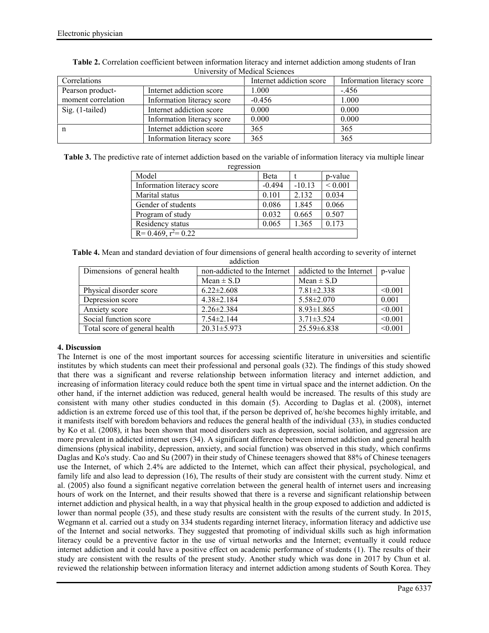| Correlations       |                            | Internet addiction score | Information literacy score |
|--------------------|----------------------------|--------------------------|----------------------------|
| Pearson product-   | Internet addiction score   | 1.000                    | $-456$                     |
| moment correlation | Information literacy score | $-0.456$                 | 1.000                      |
| Sig. $(1$ -tailed) | Internet addiction score   | 0.000                    | 0.000                      |
|                    | Information literacy score | 0.000                    | 0.000                      |
| n                  | Internet addiction score   | 365                      | 365                        |
|                    | Information literacy score | 365                      | 365                        |

**Table 2.** Correlation coefficient between information literacy and internet addiction among students of Iran University of Medical Sciences

**Table 3.** The predictive rate of internet addiction based on the variable of information literacy via multiple linear

| regression                 |          |          |             |
|----------------------------|----------|----------|-------------|
| Model                      | Beta     |          | p-value     |
| Information literacy score | $-0.494$ | $-10.13$ | ${}< 0.001$ |
| Marital status             | 0.101    | 2.132    | 0.034       |
| Gender of students         | 0.086    | 1.845    | 0.066       |
| Program of study           | 0.032    | 0.665    | 0.507       |
| Residency status           | 0.065    | 1.365    | 0.173       |
| $R = 0.469$ , $r^2 = 0.22$ |          |          |             |

**Table 4.** Mean and standard deviation of four dimensions of general health according to severity of internet addiction

| Dimensions of general health  | non-addicted to the Internet | addicted to the Internet   p-value |         |
|-------------------------------|------------------------------|------------------------------------|---------|
|                               | $Mean \pm S.D$               | $Mean \pm S.D$                     |         |
| Physical disorder score       | $6.22 \pm 2.608$             | $7.81 \pm 2.338$                   | < 0.001 |
| Depression score              | $4.38\pm2.184$               | $5.58 \pm 2.070$                   | 0.001   |
| Anxiety score                 | $2.26 \pm 2.384$             | $8.93 \pm 1.865$                   | < 0.001 |
| Social function score         | $7.54 \pm 2.144$             | $3.71 \pm 3.524$                   | < 0.001 |
| Total score of general health | $20.31 \pm 5.973$            | $25.59 \pm 6.838$                  | < 0.001 |

# **4. Discussion**

The Internet is one of the most important sources for accessing scientific literature in universities and scientific institutes by which students can meet their professional and personal goals (32). The findings of this study showed that there was a significant and reverse relationship between information literacy and internet addiction, and increasing of information literacy could reduce both the spent time in virtual space and the internet addiction. On the other hand, if the internet addiction was reduced, general health would be increased. The results of this study are consistent with many other studies conducted in this domain (5). According to Daglas et al. (2008), internet addiction is an extreme forced use of this tool that, if the person be deprived of, he/she becomes highly irritable, and it manifests itself with boredom behaviors and reduces the general health of the individual (33), in studies conducted by Ko et al. (2008), it has been shown that mood disorders such as depression, social isolation, and aggression are more prevalent in addicted internet users (34). A significant difference between internet addiction and general health dimensions (physical inability, depression, anxiety, and social function) was observed in this study, which confirms Daglas and Ko's study. Cao and Su (2007) in their study of Chinese teenagers showed that 88% of Chinese teenagers use the Internet, of which 2.4% are addicted to the Internet, which can affect their physical, psychological, and family life and also lead to depression (16), The results of their study are consistent with the current study. Nimz et al. (2005) also found a significant negative correlation between the general health of internet users and increasing hours of work on the Internet, and their results showed that there is a reverse and significant relationship between internet addiction and physical health, in a way that physical health in the group exposed to addiction and addicted is lower than normal people (35), and these study results are consistent with the results of the current study. In 2015, Wegmann et al. carried out a study on 334 students regarding internet literacy, information literacy and addictive use of the Internet and social networks. They suggested that promoting of individual skills such as high information literacy could be a preventive factor in the use of virtual networks and the Internet; eventually it could reduce internet addiction and it could have a positive effect on academic performance of students (1). The results of their study are consistent with the results of the present study. Another study which was done in 2017 by Chun et al. reviewed the relationship between information literacy and internet addiction among students of South Korea. They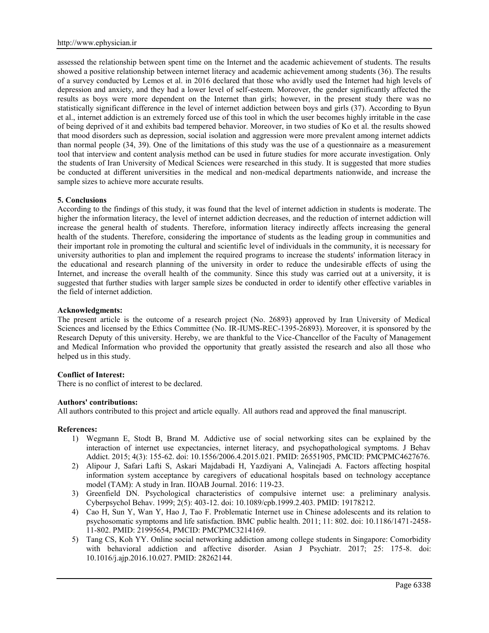assessed the relationship between spent time on the Internet and the academic achievement of students. The results showed a positive relationship between internet literacy and academic achievement among students (36). The results of a survey conducted by Lemos et al. in 2016 declared that those who avidly used the Internet had high levels of depression and anxiety, and they had a lower level of self-esteem. Moreover, the gender significantly affected the results as boys were more dependent on the Internet than girls; however, in the present study there was no statistically significant difference in the level of internet addiction between boys and girls (37). According to Byun et al., internet addiction is an extremely forced use of this tool in which the user becomes highly irritable in the case of being deprived of it and exhibits bad tempered behavior. Moreover, in two studies of Ko et al. the results showed that mood disorders such as depression, social isolation and aggression were more prevalent among internet addicts than normal people (34, 39). One of the limitations of this study was the use of a questionnaire as a measurement tool that interview and content analysis method can be used in future studies for more accurate investigation. Only the students of Iran University of Medical Sciences were researched in this study. It is suggested that more studies be conducted at different universities in the medical and non-medical departments nationwide, and increase the sample sizes to achieve more accurate results.

## **5. Conclusions**

According to the findings of this study, it was found that the level of internet addiction in students is moderate. The higher the information literacy, the level of internet addiction decreases, and the reduction of internet addiction will increase the general health of students. Therefore, information literacy indirectly affects increasing the general health of the students. Therefore, considering the importance of students as the leading group in communities and their important role in promoting the cultural and scientific level of individuals in the community, it is necessary for university authorities to plan and implement the required programs to increase the students' information literacy in the educational and research planning of the university in order to reduce the undesirable effects of using the Internet, and increase the overall health of the community. Since this study was carried out at a university, it is suggested that further studies with larger sample sizes be conducted in order to identify other effective variables in the field of internet addiction.

### **Acknowledgments:**

The present article is the outcome of a research project (No. 26893) approved by Iran University of Medical Sciences and licensed by the Ethics Committee (No. IR-IUMS-REC-1395-26893). Moreover, it is sponsored by the Research Deputy of this university. Hereby, we are thankful to the Vice-Chancellor of the Faculty of Management and Medical Information who provided the opportunity that greatly assisted the research and also all those who helped us in this study.

# **Conflict of Interest:**

There is no conflict of interest to be declared.

### **Authors' contributions:**

All authors contributed to this project and article equally. All authors read and approved the final manuscript.

### **References:**

- 1) Wegmann E, Stodt B, Brand M. Addictive use of social networking sites can be explained by the interaction of internet use expectancies, internet literacy, and psychopathological symptoms. J Behav Addict. 2015; 4(3): 155-62. doi: 10.1556/2006.4.2015.021. PMID: 26551905, PMCID: PMCPMC4627676.
- 2) Alipour J, Safari Lafti S, Askari Majdabadi H, Yazdiyani A, Valinejadi A. Factors affecting hospital information system acceptance by caregivers of educational hospitals based on technology acceptance model (TAM): A study in Iran. IIOAB Journal. 2016: 119-23.
- 3) Greenfield DN. Psychological characteristics of compulsive internet use: a preliminary analysis. Cyberpsychol Behav. 1999; 2(5): 403-12. doi: 10.1089/cpb.1999.2.403. PMID: 19178212.
- 4) Cao H, Sun Y, Wan Y, Hao J, Tao F. Problematic Internet use in Chinese adolescents and its relation to psychosomatic symptoms and life satisfaction. BMC public health. 2011; 11: 802. doi: 10.1186/1471-2458- 11-802. PMID: 21995654, PMCID: PMCPMC3214169.
- 5) Tang CS, Koh YY. Online social networking addiction among college students in Singapore: Comorbidity with behavioral addiction and affective disorder. Asian J Psychiatr. 2017; 25: 175-8. doi: 10.1016/j.ajp.2016.10.027. PMID: 28262144.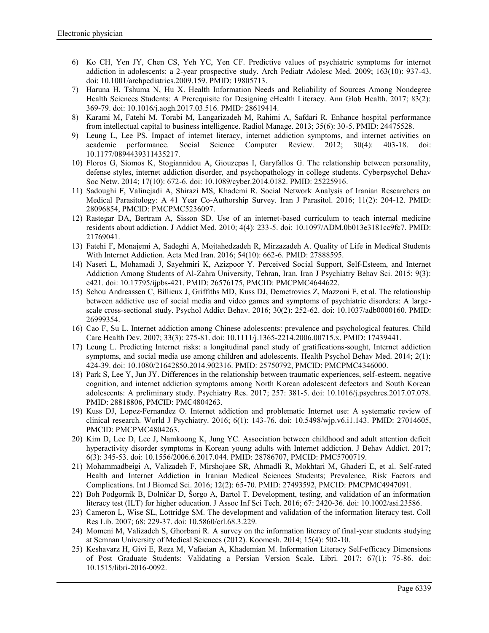- 6) Ko CH, Yen JY, Chen CS, Yeh YC, Yen CF. Predictive values of psychiatric symptoms for internet addiction in adolescents: a 2-year prospective study. Arch Pediatr Adolesc Med. 2009; 163(10): 937-43. doi: 10.1001/archpediatrics.2009.159. PMID: 19805713.
- 7) Haruna H, Tshuma N, Hu X. Health Information Needs and Reliability of Sources Among Nondegree Health Sciences Students: A Prerequisite for Designing eHealth Literacy. Ann Glob Health. 2017; 83(2): 369-79. doi: 10.1016/j.aogh.2017.03.516. PMID: 28619414.
- 8) Karami M, Fatehi M, Torabi M, Langarizadeh M, Rahimi A, Safdari R. Enhance hospital performance from intellectual capital to business intelligence. Radiol Manage. 2013; 35(6): 30-5. PMID: 24475528.
- 9) Leung L, Lee PS. Impact of internet literacy, internet addiction symptoms, and internet activities on academic performance. Social Science Computer Review. 2012; 30(4): 403-18. doi: 10.1177/0894439311435217.
- 10) Floros G, Siomos K, Stogiannidou A, Giouzepas I, Garyfallos G. The relationship between personality, defense styles, internet addiction disorder, and psychopathology in college students. Cyberpsychol Behav Soc Netw. 2014; 17(10): 672-6. doi: 10.1089/cyber.2014.0182. PMID: 25225916.
- 11) Sadoughi F, Valinejadi A, Shirazi MS, Khademi R. Social Network Analysis of Iranian Researchers on Medical Parasitology: A 41 Year Co-Authorship Survey. Iran J Parasitol. 2016; 11(2): 204-12. PMID: 28096854, PMCID: PMCPMC5236097.
- 12) Rastegar DA, Bertram A, Sisson SD. Use of an internet-based curriculum to teach internal medicine residents about addiction. J Addict Med. 2010; 4(4): 233-5. doi: 10.1097/ADM.0b013e3181cc9fc7. PMID: 21769041.
- 13) Fatehi F, Monajemi A, Sadeghi A, Mojtahedzadeh R, Mirzazadeh A. Quality of Life in Medical Students With Internet Addiction. Acta Med Iran. 2016; 54(10): 662-6. PMID: 27888595.
- 14) Naseri L, Mohamadi J, Sayehmiri K, Azizpoor Y. Perceived Social Support, Self-Esteem, and Internet Addiction Among Students of Al-Zahra University, Tehran, Iran. Iran J Psychiatry Behav Sci. 2015; 9(3): e421. doi: 10.17795/ijpbs-421. PMID: 26576175, PMCID: PMCPMC4644622.
- 15) Schou Andreassen C, Billieux J, Griffiths MD, Kuss DJ, Demetrovics Z, Mazzoni E, et al. The relationship between addictive use of social media and video games and symptoms of psychiatric disorders: A large scale cross-sectional study. Psychol Addict Behav. 2016; 30(2): 252-62. doi: 10.1037/adb0000160. PMID: 26999354.
- 16) Cao F, Su L. Internet addiction among Chinese adolescents: prevalence and psychological features. Child Care Health Dev. 2007; 33(3): 275-81. doi: 10.1111/j.1365-2214.2006.00715.x. PMID: 17439441.
- 17) Leung L. Predicting Internet risks: a longitudinal panel study of gratifications-sought, Internet addiction symptoms, and social media use among children and adolescents. Health Psychol Behav Med. 2014; 2(1): 424-39. doi: 10.1080/21642850.2014.902316. PMID: 25750792, PMCID: PMCPMC4346000.
- 18) Park S, Lee Y, Jun JY. Differences in the relationship between traumatic experiences, self-esteem, negative cognition, and internet addiction symptoms among North Korean adolescent defectors and South Korean adolescents: A preliminary study. Psychiatry Res. 2017; 257: 381-5. doi: 10.1016/j.psychres.2017.07.078. PMID: 28818806, PMCID: PMC4804263.
- 19) Kuss DJ, Lopez-Fernandez O. Internet addiction and problematic Internet use: A systematic review of clinical research. World J Psychiatry. 2016; 6(1): 143-76. doi: 10.5498/wjp.v6.i1.143. PMID: 27014605, PMCID: PMCPMC4804263.
- 20) Kim D, Lee D, Lee J, Namkoong K, Jung YC. Association between childhood and adult attention deficit hyperactivity disorder symptoms in Korean young adults with Internet addiction. J Behav Addict. 2017; 6(3): 345-53. doi: 10.1556/2006.6.2017.044. PMID: 28786707, PMCID: PMC5700719.
- 21) Mohammadbeigi A, Valizadeh F, Mirshojaee SR, Ahmadli R, Mokhtari M, Ghaderi E, et al. Self-rated Health and Internet Addiction in Iranian Medical Sciences Students; Prevalence, Risk Factors and Complications. Int J Biomed Sci. 2016; 12(2): 65-70. PMID: 27493592, PMCID: PMCPMC4947091.
- 22) Boh Podgornik B, Dolničar D, Šorgo A, Bartol T. Development, testing, and validation of an information literacy test (ILT) for higher education. J Assoc Inf Sci Tech. 2016; 67: 2420-36. doi: 10.1002/asi.23586.
- 23) Cameron L, Wise SL, Lottridge SM. The development and validation of the information literacy test. Coll Res Lib. 2007; 68: 229-37. doi: 10.5860/crl.68.3.229.
- 24) Momeni M, Valizadeh S, Ghorbani R. A survey on the information literacy of final-year students studying at Semnan University of Medical Sciences (2012). Koomesh. 2014; 15(4): 502-10.
- 25) Keshavarz H, Givi E, Reza M, Vafaeian A, Khademian M. Information Literacy Self-efficacy Dimensions of Post Graduate Students: Validating a Persian Version Scale. Libri. 2017; 67(1): 75-86. doi: 10.1515/libri-2016-0092.